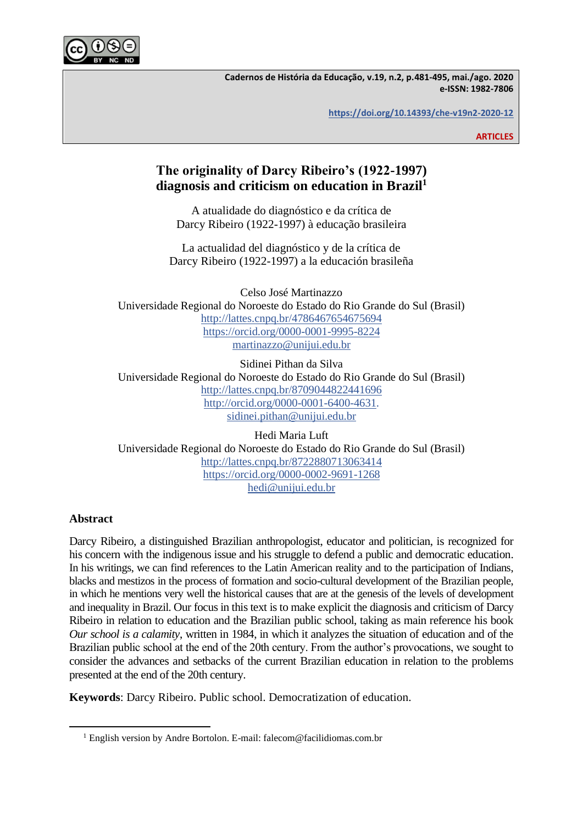

**Cadernos de História da Educação, v.19, n.2, p.481-495, mai./ago. 2020 e-ISSN: 1982-7806**

**[https://doi.org/10.14393/che-v19n2-2020-12](https://doi.org/10.14393/che-v19n2-2020-9)**

**ARTICLES**

# **The originality of Darcy Ribeiro's (1922-1997) diagnosis and criticism on education in Brazil<sup>1</sup>**

A atualidade do diagnóstico e da crítica de Darcy Ribeiro (1922-1997) à educação brasileira

La actualidad del diagnóstico y de la crítica de Darcy Ribeiro (1922-1997) a la educación brasileña

Celso José Martinazzo Universidade Regional do Noroeste do Estado do Rio Grande do Sul (Brasil) <http://lattes.cnpq.br/4786467654675694> <https://orcid.org/0000-0001-9995-8224> [martinazzo@unijui.edu.br](mailto:martinazzo@unijui.edu.br)

Sidinei Pithan da Silva Universidade Regional do Noroeste do Estado do Rio Grande do Sul (Brasil) <http://lattes.cnpq.br/8709044822441696> [http://orcid.org/0000-0001-6400-4631.](http://orcid.org/0000-0001-6400-4631) [sidinei.pithan@unijui.edu.br](mailto:sidinei.pithan@unijui.edu.br)

Hedi Maria Luft Universidade Regional do Noroeste do Estado do Rio Grande do Sul (Brasil) <http://lattes.cnpq.br/8722880713063414> <https://orcid.org/0000-0002-9691-1268> [hedi@unijui.edu.br](mailto:hedi@unijui.edu.br)

# **Abstract**

Darcy Ribeiro, a distinguished Brazilian anthropologist, educator and politician, is recognized for his concern with the indigenous issue and his struggle to defend a public and democratic education. In his writings, we can find references to the Latin American reality and to the participation of Indians, blacks and mestizos in the process of formation and socio-cultural development of the Brazilian people, in which he mentions very well the historical causes that are at the genesis of the levels of development and inequality in Brazil. Our focus in this text is to make explicit the diagnosis and criticism of Darcy Ribeiro in relation to education and the Brazilian public school, taking as main reference his book *Our school is a calamity*, written in 1984, in which it analyzes the situation of education and of the Brazilian public school at the end of the 20th century. From the author's provocations, we sought to consider the advances and setbacks of the current Brazilian education in relation to the problems presented at the end of the 20th century.

**Keywords**: Darcy Ribeiro. Public school. Democratization of education.

<sup>&</sup>lt;sup>1</sup> English version by Andre Bortolon. E-mail: falecom@facilidiomas.com.br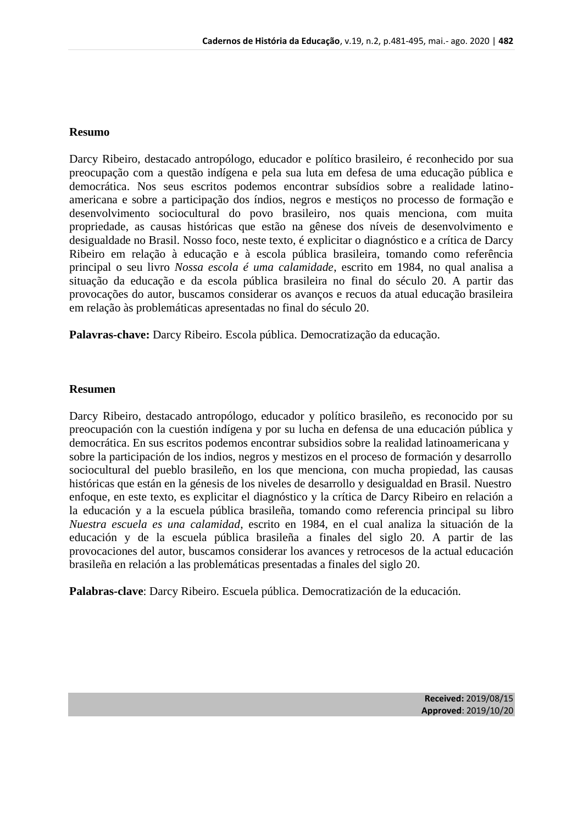### **Resumo**

Darcy Ribeiro, destacado antropólogo, educador e político brasileiro, é reconhecido por sua preocupação com a questão indígena e pela sua luta em defesa de uma educação pública e democrática. Nos seus escritos podemos encontrar subsídios sobre a realidade latinoamericana e sobre a participação dos índios, negros e mestiços no processo de formação e desenvolvimento sociocultural do povo brasileiro, nos quais menciona, com muita propriedade, as causas históricas que estão na gênese dos níveis de desenvolvimento e desigualdade no Brasil. Nosso foco, neste texto, é explicitar o diagnóstico e a crítica de Darcy Ribeiro em relação à educação e à escola pública brasileira, tomando como referência principal o seu livro *Nossa escola é uma calamidade*, escrito em 1984, no qual analisa a situação da educação e da escola pública brasileira no final do século 20. A partir das provocações do autor, buscamos considerar os avanços e recuos da atual educação brasileira em relação às problemáticas apresentadas no final do século 20.

**Palavras-chave:** Darcy Ribeiro. Escola pública. Democratização da educação.

## **Resumen**

Darcy Ribeiro, destacado antropólogo, educador y político brasileño, es reconocido por su preocupación con la cuestión indígena y por su lucha en defensa de una educación pública y democrática. En sus escritos podemos encontrar subsidios sobre la realidad latinoamericana y sobre la participación de los indios, negros y mestizos en el proceso de formación y desarrollo sociocultural del pueblo brasileño, en los que menciona, con mucha propiedad, las causas históricas que están en la génesis de los niveles de desarrollo y desigualdad en Brasil. Nuestro enfoque, en este texto, es explicitar el diagnóstico y la crítica de Darcy Ribeiro en relación a la educación y a la escuela pública brasileña, tomando como referencia principal su libro *Nuestra escuela es una calamidad*, escrito en 1984, en el cual analiza la situación de la educación y de la escuela pública brasileña a finales del siglo 20. A partir de las provocaciones del autor, buscamos considerar los avances y retrocesos de la actual educación brasileña en relación a las problemáticas presentadas a finales del siglo 20.

**Palabras-clave**: Darcy Ribeiro. Escuela pública. Democratización de la educación.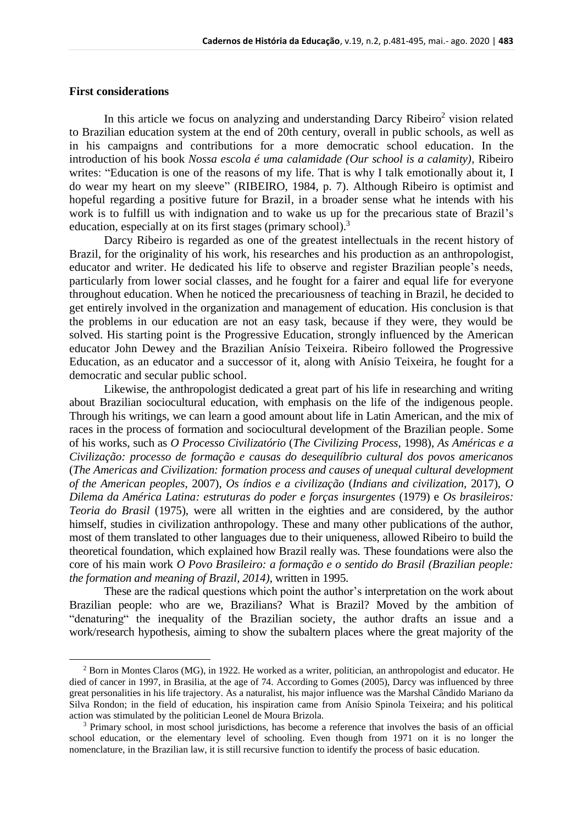# **First considerations**

In this article we focus on analyzing and understanding Darcy Ribeiro<sup>2</sup> vision related to Brazilian education system at the end of 20th century, overall in public schools, as well as in his campaigns and contributions for a more democratic school education. In the introduction of his book *Nossa escola é uma calamidade (Our school is a calamity),* Ribeiro writes: "Education is one of the reasons of my life. That is why I talk emotionally about it, I do wear my heart on my sleeve" (RIBEIRO, 1984, p. 7). Although Ribeiro is optimist and hopeful regarding a positive future for Brazil, in a broader sense what he intends with his work is to fulfill us with indignation and to wake us up for the precarious state of Brazil's education, especially at on its first stages (primary school).<sup>3</sup>

Darcy Ribeiro is regarded as one of the greatest intellectuals in the recent history of Brazil, for the originality of his work, his researches and his production as an anthropologist, educator and writer. He dedicated his life to observe and register Brazilian people's needs, particularly from lower social classes, and he fought for a fairer and equal life for everyone throughout education. When he noticed the precariousness of teaching in Brazil, he decided to get entirely involved in the organization and management of education. His conclusion is that the problems in our education are not an easy task, because if they were, they would be solved. His starting point is the Progressive Education, strongly influenced by the American educator John Dewey and the Brazilian Anísio Teixeira. Ribeiro followed the Progressive Education, as an educator and a successor of it, along with Anísio Teixeira, he fought for a democratic and secular public school.

Likewise, the anthropologist dedicated a great part of his life in researching and writing about Brazilian sociocultural education, with emphasis on the life of the indigenous people. Through his writings, we can learn a good amount about life in Latin American, and the mix of races in the process of formation and sociocultural development of the Brazilian people. Some of his works, such as *O Processo Civilizatório* (*The Civilizing Process*, 1998), *As Américas e a Civilização: processo de formação e causas do desequilíbrio cultural dos povos americanos*  (*The Americas and Civilization: formation process and causes of unequal cultural development of the American peoples*, 2007), *Os índios e a civilização* (*Indians and civilization*, 2017), *O Dilema da América Latina: estruturas do poder e forças insurgentes* (1979) e *Os brasileiros: Teoria do Brasil* (1975), were all written in the eighties and are considered, by the author himself, studies in civilization anthropology. These and many other publications of the author, most of them translated to other languages due to their uniqueness, allowed Ribeiro to build the theoretical foundation, which explained how Brazil really was. These foundations were also the core of his main work *O Povo Brasileiro: a formação e o sentido do Brasil (Brazilian people: the formation and meaning of Brazil, 2014)*, written in 1995.

These are the radical questions which point the author's interpretation on the work about Brazilian people: who are we, Brazilians? What is Brazil? Moved by the ambition of "denaturing" the inequality of the Brazilian society, the author drafts an issue and a work/research hypothesis, aiming to show the subaltern places where the great majority of the

<sup>2</sup> Born in Montes Claros (MG), in 1922. He worked as a writer, politician, an anthropologist and educator. He died of cancer in 1997, in Brasilia, at the age of 74. According to Gomes (2005), Darcy was influenced by three great personalities in his life trajectory. As a naturalist, his major influence was the Marshal Cândido Mariano da Silva Rondon; in the field of education, his inspiration came from Anísio Spinola Teixeira; and his political action was stimulated by the politician Leonel de Moura Brizola.

<sup>&</sup>lt;sup>3</sup> Primary school, in most school jurisdictions, has become a reference that involves the basis of an official school education, or the elementary level of schooling. Even though from 1971 on it is no longer the nomenclature, in the Brazilian law, it is still recursive function to identify the process of basic education.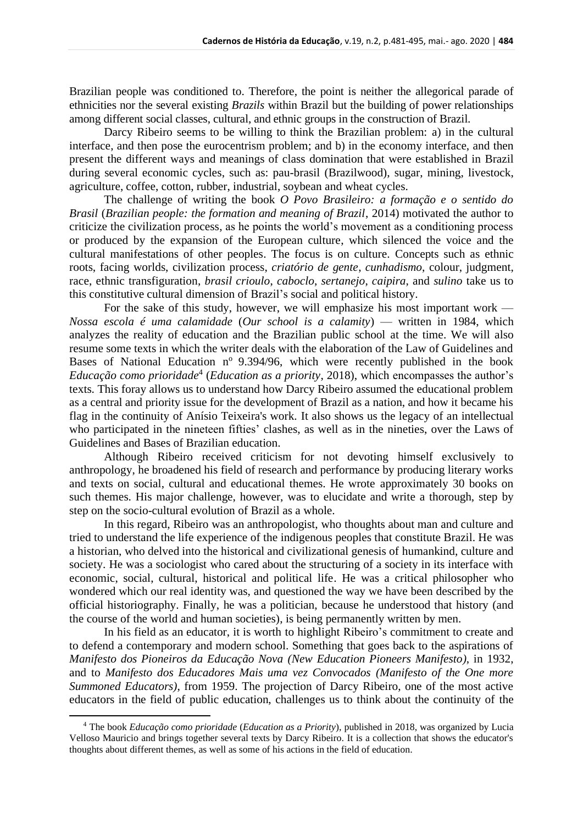Brazilian people was conditioned to. Therefore, the point is neither the allegorical parade of ethnicities nor the several existing *Brazils* within Brazil but the building of power relationships among different social classes, cultural, and ethnic groups in the construction of Brazil.

Darcy Ribeiro seems to be willing to think the Brazilian problem: a) in the cultural interface, and then pose the eurocentrism problem; and b) in the economy interface, and then present the different ways and meanings of class domination that were established in Brazil during several economic cycles, such as: pau-brasil (Brazilwood), sugar, mining, livestock, agriculture, coffee, cotton, rubber, industrial, soybean and wheat cycles.

The challenge of writing the book *O Povo Brasileiro: a formação e o sentido do Brasil* (*Brazilian people: the formation and meaning of Brazil*, 2014) motivated the author to criticize the civilization process, as he points the world's movement as a conditioning process or produced by the expansion of the European culture, which silenced the voice and the cultural manifestations of other peoples. The focus is on culture. Concepts such as ethnic roots, facing worlds, civilization process, *criatório de gente*, *cunhadismo*, colour, judgment, race, ethnic transfiguration, *brasil crioulo*, *caboclo*, *sertanejo*, *caipira*, and *sulino* take us to this constitutive cultural dimension of Brazil's social and political history.

For the sake of this study, however, we will emphasize his most important work — *Nossa escola é uma calamidade* (*Our school is a calamity*) — written in 1984, which analyzes the reality of education and the Brazilian public school at the time. We will also resume some texts in which the writer deals with the elaboration of the Law of Guidelines and Bases of National Education nº 9.394/96, which were recently published in the book Educação como prioridade<sup>4</sup> (Education as a priority, 2018), which encompasses the author's texts. This foray allows us to understand how Darcy Ribeiro assumed the educational problem as a central and priority issue for the development of Brazil as a nation, and how it became his flag in the continuity of Anísio Teixeira's work. It also shows us the legacy of an intellectual who participated in the nineteen fifties' clashes, as well as in the nineties, over the Laws of Guidelines and Bases of Brazilian education.

Although Ribeiro received criticism for not devoting himself exclusively to anthropology, he broadened his field of research and performance by producing literary works and texts on social, cultural and educational themes. He wrote approximately 30 books on such themes. His major challenge, however, was to elucidate and write a thorough, step by step on the socio-cultural evolution of Brazil as a whole.

In this regard, Ribeiro was an anthropologist, who thoughts about man and culture and tried to understand the life experience of the indigenous peoples that constitute Brazil. He was a historian, who delved into the historical and civilizational genesis of humankind, culture and society. He was a sociologist who cared about the structuring of a society in its interface with economic, social, cultural, historical and political life. He was a critical philosopher who wondered which our real identity was, and questioned the way we have been described by the official historiography. Finally, he was a politician, because he understood that history (and the course of the world and human societies), is being permanently written by men.

In his field as an educator, it is worth to highlight Ribeiro's commitment to create and to defend a contemporary and modern school. Something that goes back to the aspirations of *Manifesto dos Pioneiros da Educação Nova (New Education Pioneers Manifesto)*, in 1932, and to *Manifesto dos Educadores Mais uma vez Convocados (Manifesto of the One more Summoned Educators)*, from 1959. The projection of Darcy Ribeiro, one of the most active educators in the field of public education, challenges us to think about the continuity of the

<sup>4</sup> The book *Educação como prioridade* (*Education as a Priority*), published in 2018, was organized by Lucia Velloso Mauricio and brings together several texts by Darcy Ribeiro. It is a collection that shows the educator's thoughts about different themes, as well as some of his actions in the field of education.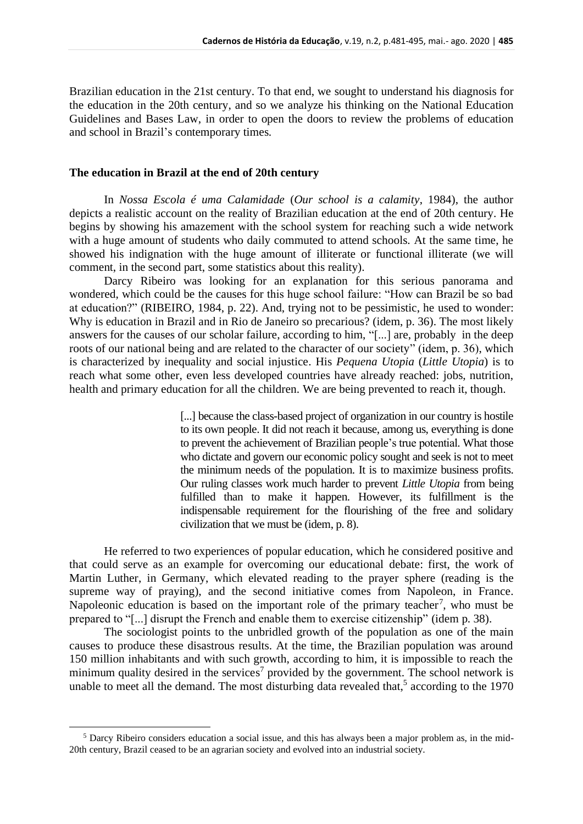Brazilian education in the 21st century. To that end, we sought to understand his diagnosis for the education in the 20th century, and so we analyze his thinking on the National Education Guidelines and Bases Law, in order to open the doors to review the problems of education and school in Brazil's contemporary times.

#### **The education in Brazil at the end of 20th century**

In *Nossa Escola é uma Calamidade* (*Our school is a calamity*, 1984), the author depicts a realistic account on the reality of Brazilian education at the end of 20th century. He begins by showing his amazement with the school system for reaching such a wide network with a huge amount of students who daily commuted to attend schools. At the same time, he showed his indignation with the huge amount of illiterate or functional illiterate (we will comment, in the second part, some statistics about this reality).

Darcy Ribeiro was looking for an explanation for this serious panorama and wondered, which could be the causes for this huge school failure: "How can Brazil be so bad at education?" (RIBEIRO, 1984, p. 22). And, trying not to be pessimistic, he used to wonder: Why is education in Brazil and in Rio de Janeiro so precarious? (idem, p. 36). The most likely answers for the causes of our scholar failure, according to him, "[...] are, probably in the deep roots of our national being and are related to the character of our society" (idem, p. 36), which is characterized by inequality and social injustice. His *Pequena Utopia* (*Little Utopia*) is to reach what some other, even less developed countries have already reached: jobs, nutrition, health and primary education for all the children. We are being prevented to reach it, though.

> [...] because the class-based project of organization in our country is hostile to its own people. It did not reach it because, among us, everything is done to prevent the achievement of Brazilian people's true potential. What those who dictate and govern our economic policy sought and seek is not to meet the minimum needs of the population. It is to maximize business profits. Our ruling classes work much harder to prevent *Little Utopia* from being fulfilled than to make it happen. However, its fulfillment is the indispensable requirement for the flourishing of the free and solidary civilization that we must be (idem, p. 8).

He referred to two experiences of popular education, which he considered positive and that could serve as an example for overcoming our educational debate: first, the work of Martin Luther, in Germany, which elevated reading to the prayer sphere (reading is the supreme way of praying), and the second initiative comes from Napoleon, in France. Napoleonic education is based on the important role of the primary teacher<sup>7</sup>, who must be prepared to "[...] disrupt the French and enable them to exercise citizenship" (idem p. 38).

The sociologist points to the unbridled growth of the population as one of the main causes to produce these disastrous results. At the time, the Brazilian population was around 150 million inhabitants and with such growth, according to him, it is impossible to reach the minimum quality desired in the services<sup>7</sup> provided by the government. The school network is unable to meet all the demand. The most disturbing data revealed that,<sup>5</sup> according to the 1970

<sup>5</sup> Darcy Ribeiro considers education a social issue, and this has always been a major problem as, in the mid-20th century, Brazil ceased to be an agrarian society and evolved into an industrial society.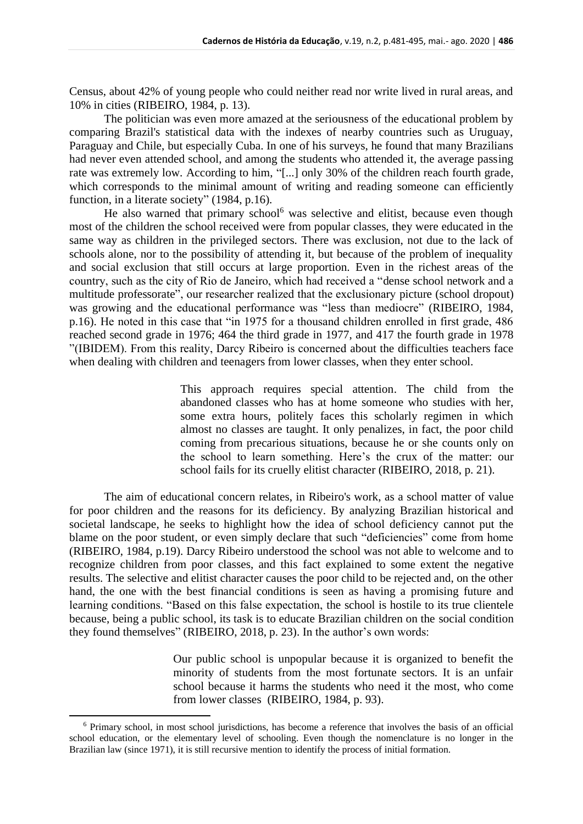Census, about 42% of young people who could neither read nor write lived in rural areas, and 10% in cities (RIBEIRO, 1984, p. 13).

The politician was even more amazed at the seriousness of the educational problem by comparing Brazil's statistical data with the indexes of nearby countries such as Uruguay, Paraguay and Chile, but especially Cuba. In one of his surveys, he found that many Brazilians had never even attended school, and among the students who attended it, the average passing rate was extremely low. According to him, "[...] only 30% of the children reach fourth grade, which corresponds to the minimal amount of writing and reading someone can efficiently function, in a literate society" (1984, p.16).

He also warned that primary school<sup>6</sup> was selective and elitist, because even though most of the children the school received were from popular classes, they were educated in the same way as children in the privileged sectors. There was exclusion, not due to the lack of schools alone, nor to the possibility of attending it, but because of the problem of inequality and social exclusion that still occurs at large proportion. Even in the richest areas of the country, such as the city of Rio de Janeiro, which had received a "dense school network and a multitude professorate", our researcher realized that the exclusionary picture (school dropout) was growing and the educational performance was "less than mediocre" (RIBEIRO, 1984, p.16). He noted in this case that "in 1975 for a thousand children enrolled in first grade, 486 reached second grade in 1976; 464 the third grade in 1977, and 417 the fourth grade in 1978 "(IBIDEM). From this reality, Darcy Ribeiro is concerned about the difficulties teachers face when dealing with children and teenagers from lower classes, when they enter school.

> This approach requires special attention. The child from the abandoned classes who has at home someone who studies with her, some extra hours, politely faces this scholarly regimen in which almost no classes are taught. It only penalizes, in fact, the poor child coming from precarious situations, because he or she counts only on the school to learn something. Here's the crux of the matter: our school fails for its cruelly elitist character (RIBEIRO, 2018, p. 21).

The aim of educational concern relates, in Ribeiro's work, as a school matter of value for poor children and the reasons for its deficiency. By analyzing Brazilian historical and societal landscape, he seeks to highlight how the idea of school deficiency cannot put the blame on the poor student, or even simply declare that such "deficiencies" come from home (RIBEIRO, 1984, p.19). Darcy Ribeiro understood the school was not able to welcome and to recognize children from poor classes, and this fact explained to some extent the negative results. The selective and elitist character causes the poor child to be rejected and, on the other hand, the one with the best financial conditions is seen as having a promising future and learning conditions. "Based on this false expectation, the school is hostile to its true clientele because, being a public school, its task is to educate Brazilian children on the social condition they found themselves" (RIBEIRO, 2018, p. 23). In the author's own words:

> Our public school is unpopular because it is organized to benefit the minority of students from the most fortunate sectors. It is an unfair school because it harms the students who need it the most, who come from lower classes (RIBEIRO, 1984, p. 93).

<sup>6</sup> Primary school, in most school jurisdictions, has become a reference that involves the basis of an official school education, or the elementary level of schooling. Even though the nomenclature is no longer in the Brazilian law (since 1971), it is still recursive mention to identify the process of initial formation.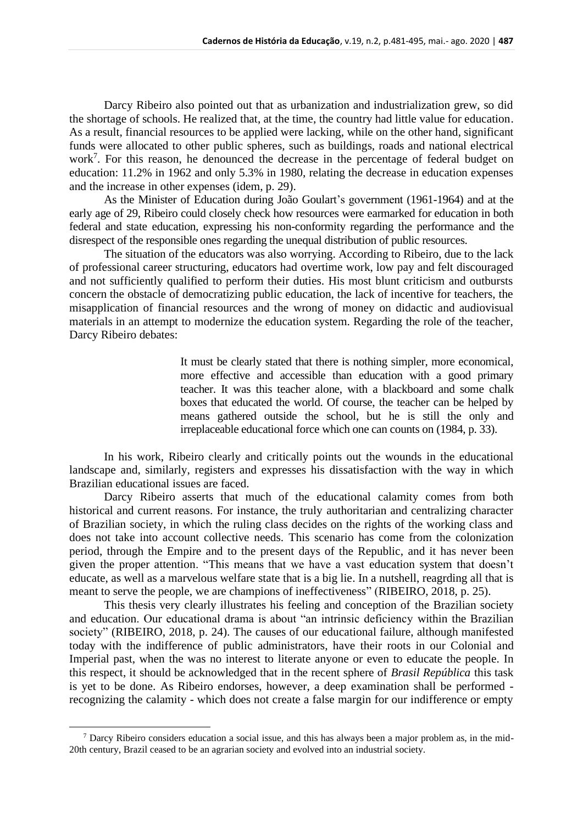Darcy Ribeiro also pointed out that as urbanization and industrialization grew, so did the shortage of schools. He realized that, at the time, the country had little value for education. As a result, financial resources to be applied were lacking, while on the other hand, significant funds were allocated to other public spheres, such as buildings, roads and national electrical work<sup>7</sup>. For this reason, he denounced the decrease in the percentage of federal budget on education: 11.2% in 1962 and only 5.3% in 1980, relating the decrease in education expenses and the increase in other expenses (idem, p. 29).

As the Minister of Education during João Goulart's government (1961-1964) and at the early age of 29, Ribeiro could closely check how resources were earmarked for education in both federal and state education, expressing his non-conformity regarding the performance and the disrespect of the responsible ones regarding the unequal distribution of public resources.

The situation of the educators was also worrying. According to Ribeiro, due to the lack of professional career structuring, educators had overtime work, low pay and felt discouraged and not sufficiently qualified to perform their duties. His most blunt criticism and outbursts concern the obstacle of democratizing public education, the lack of incentive for teachers, the misapplication of financial resources and the wrong of money on didactic and audiovisual materials in an attempt to modernize the education system. Regarding the role of the teacher, Darcy Ribeiro debates:

> It must be clearly stated that there is nothing simpler, more economical, more effective and accessible than education with a good primary teacher. It was this teacher alone, with a blackboard and some chalk boxes that educated the world. Of course, the teacher can be helped by means gathered outside the school, but he is still the only and irreplaceable educational force which one can counts on (1984, p. 33).

In his work, Ribeiro clearly and critically points out the wounds in the educational landscape and, similarly, registers and expresses his dissatisfaction with the way in which Brazilian educational issues are faced.

Darcy Ribeiro asserts that much of the educational calamity comes from both historical and current reasons. For instance, the truly authoritarian and centralizing character of Brazilian society, in which the ruling class decides on the rights of the working class and does not take into account collective needs. This scenario has come from the colonization period, through the Empire and to the present days of the Republic, and it has never been given the proper attention. "This means that we have a vast education system that doesn't educate, as well as a marvelous welfare state that is a big lie. In a nutshell, reagrding all that is meant to serve the people, we are champions of ineffectiveness" (RIBEIRO, 2018, p. 25).

This thesis very clearly illustrates his feeling and conception of the Brazilian society and education. Our educational drama is about "an intrinsic deficiency within the Brazilian society" (RIBEIRO, 2018, p. 24). The causes of our educational failure, although manifested today with the indifference of public administrators, have their roots in our Colonial and Imperial past, when the was no interest to literate anyone or even to educate the people. In this respect, it should be acknowledged that in the recent sphere of *Brasil República* this task is yet to be done. As Ribeiro endorses, however, a deep examination shall be performed recognizing the calamity - which does not create a false margin for our indifference or empty

 $<sup>7</sup>$  Darcy Ribeiro considers education a social issue, and this has always been a major problem as, in the mid-</sup> 20th century, Brazil ceased to be an agrarian society and evolved into an industrial society.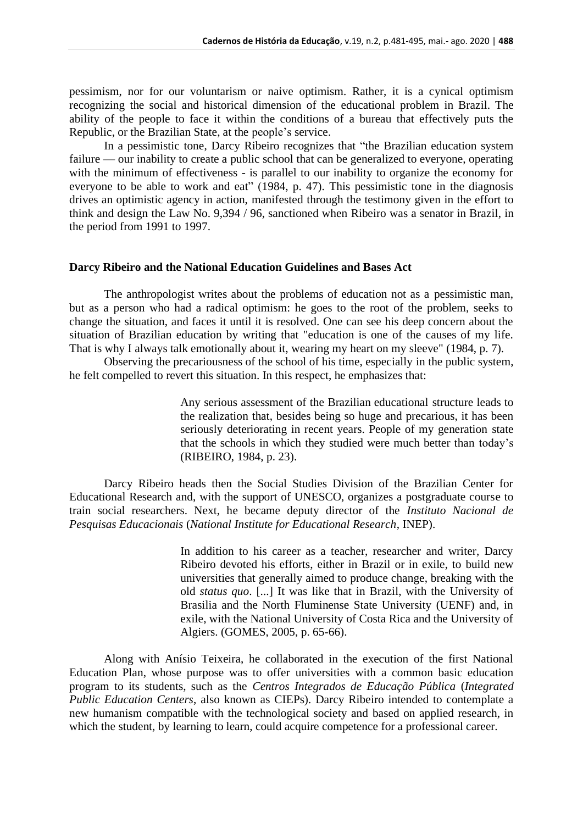pessimism, nor for our voluntarism or naive optimism. Rather, it is a cynical optimism recognizing the social and historical dimension of the educational problem in Brazil. The ability of the people to face it within the conditions of a bureau that effectively puts the Republic, or the Brazilian State, at the people's service.

In a pessimistic tone, Darcy Ribeiro recognizes that "the Brazilian education system failure — our inability to create a public school that can be generalized to everyone, operating with the minimum of effectiveness - is parallel to our inability to organize the economy for everyone to be able to work and eat" (1984, p. 47). This pessimistic tone in the diagnosis drives an optimistic agency in action, manifested through the testimony given in the effort to think and design the Law No. 9,394 / 96, sanctioned when Ribeiro was a senator in Brazil, in the period from 1991 to 1997.

#### **Darcy Ribeiro and the National Education Guidelines and Bases Act**

The anthropologist writes about the problems of education not as a pessimistic man, but as a person who had a radical optimism: he goes to the root of the problem, seeks to change the situation, and faces it until it is resolved. One can see his deep concern about the situation of Brazilian education by writing that "education is one of the causes of my life. That is why I always talk emotionally about it, wearing my heart on my sleeve" (1984, p. 7).

Observing the precariousness of the school of his time, especially in the public system, he felt compelled to revert this situation. In this respect, he emphasizes that:

> Any serious assessment of the Brazilian educational structure leads to the realization that, besides being so huge and precarious, it has been seriously deteriorating in recent years. People of my generation state that the schools in which they studied were much better than today's (RIBEIRO, 1984, p. 23).

Darcy Ribeiro heads then the Social Studies Division of the Brazilian Center for Educational Research and, with the support of UNESCO, organizes a postgraduate course to train social researchers. Next, he became deputy director of the *Instituto Nacional de Pesquisas Educacionais* (*National Institute for Educational Research*, INEP).

> In addition to his career as a teacher, researcher and writer, Darcy Ribeiro devoted his efforts, either in Brazil or in exile, to build new universities that generally aimed to produce change, breaking with the old *status quo*. [...] It was like that in Brazil, with the University of Brasilia and the North Fluminense State University (UENF) and, in exile, with the National University of Costa Rica and the University of Algiers. (GOMES, 2005, p. 65-66).

Along with Anísio Teixeira, he collaborated in the execution of the first National Education Plan, whose purpose was to offer universities with a common basic education program to its students, such as the *Centros Integrados de Educação Pública* (*Integrated Public Education Centers*, also known as CIEPs). Darcy Ribeiro intended to contemplate a new humanism compatible with the technological society and based on applied research, in which the student, by learning to learn, could acquire competence for a professional career.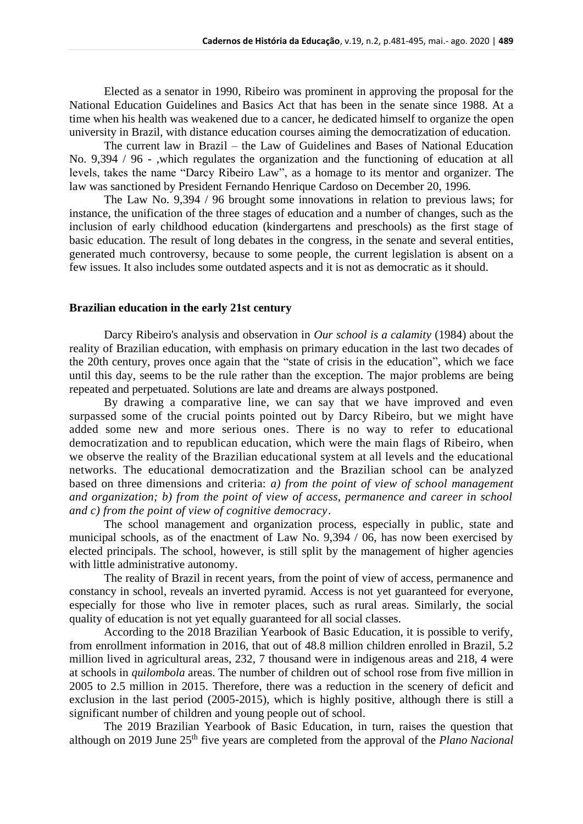Elected as a senator in 1990, Ribeiro was prominent in approving the proposal for the National Education Guidelines and Basics Act that has been in the senate since 1988. At a time when his health was weakened due to a cancer, he dedicated himself to organize the open university in Brazil, with distance education courses aiming the democratization of education.

The current law in Brazil – the Law of Guidelines and Bases of National Education No. 9,394 / 96 - ,which regulates the organization and the functioning of education at all levels, takes the name "Darcy Ribeiro Law", as a homage to its mentor and organizer. The law was sanctioned by President Fernando Henrique Cardoso on December 20, 1996.

The Law No. 9,394 / 96 brought some innovations in relation to previous laws; for instance, the unification of the three stages of education and a number of changes, such as the inclusion of early childhood education (kindergartens and preschools) as the first stage of basic education. The result of long debates in the congress, in the senate and several entities, generated much controversy, because to some people, the current legislation is absent on a few issues. It also includes some outdated aspects and it is not as democratic as it should.

### **Brazilian education in the early 21st century**

Darcy Ribeiro's analysis and observation in *Our school is a calamity* (1984) about the reality of Brazilian education, with emphasis on primary education in the last two decades of the 20th century, proves once again that the "state of crisis in the education", which we face until this day, seems to be the rule rather than the exception. The major problems are being repeated and perpetuated. Solutions are late and dreams are always postponed.

By drawing a comparative line, we can say that we have improved and even surpassed some of the crucial points pointed out by Darcy Ribeiro, but we might have added some new and more serious ones. There is no way to refer to educational democratization and to republican education, which were the main flags of Ribeiro, when we observe the reality of the Brazilian educational system at all levels and the educational networks. The educational democratization and the Brazilian school can be analyzed based on three dimensions and criteria: *a) from the point of view of school management and organization; b) from the point of view of access, permanence and career in school and c) from the point of view of cognitive democracy*.

The school management and organization process, especially in public, state and municipal schools, as of the enactment of Law No. 9,394 / 06, has now been exercised by elected principals. The school, however, is still split by the management of higher agencies with little administrative autonomy.

The reality of Brazil in recent years, from the point of view of access, permanence and constancy in school, reveals an inverted pyramid. Access is not yet guaranteed for everyone, especially for those who live in remoter places, such as rural areas. Similarly, the social quality of education is not yet equally guaranteed for all social classes.

According to the 2018 Brazilian Yearbook of Basic Education, it is possible to verify, from enrollment information in 2016, that out of 48.8 million children enrolled in Brazil, 5.2 million lived in agricultural areas, 232, 7 thousand were in indigenous areas and 218, 4 were at schools in *quilombola* areas. The number of children out of school rose from five million in 2005 to 2.5 million in 2015. Therefore, there was a reduction in the scenery of deficit and exclusion in the last period (2005-2015), which is highly positive, although there is still a significant number of children and young people out of school.

The 2019 Brazilian Yearbook of Basic Education, in turn, raises the question that although on 2019 June 25<sup>th</sup> five years are completed from the approval of the *Plano Nacional*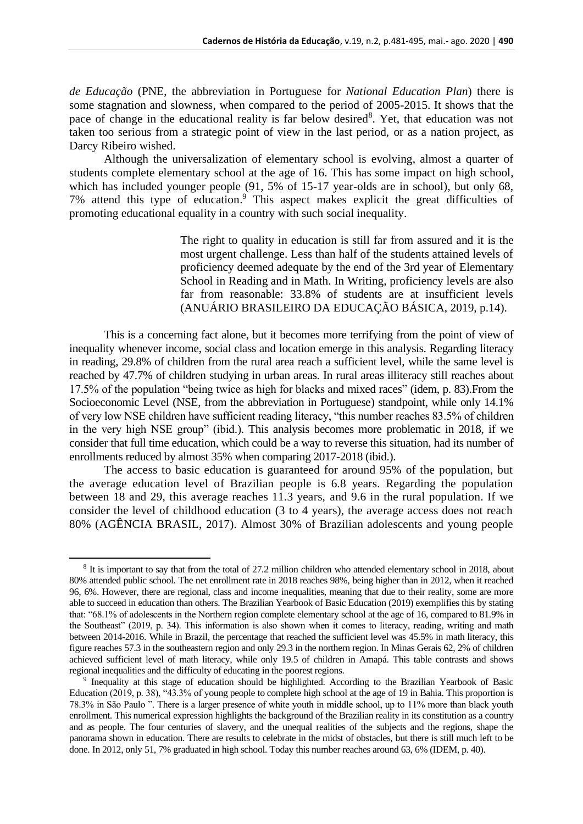*de Educação* (PNE, the abbreviation in Portuguese for *National Education Plan*) there is some stagnation and slowness, when compared to the period of 2005-2015. It shows that the pace of change in the educational reality is far below desired<sup>8</sup>. Yet, that education was not taken too serious from a strategic point of view in the last period, or as a nation project, as Darcy Ribeiro wished.

Although the universalization of elementary school is evolving, almost a quarter of students complete elementary school at the age of 16. This has some impact on high school, which has included younger people (91, 5% of 15-17 year-olds are in school), but only 68, 7% attend this type of education. <sup>9</sup> This aspect makes explicit the great difficulties of promoting educational equality in a country with such social inequality.

> The right to quality in education is still far from assured and it is the most urgent challenge. Less than half of the students attained levels of proficiency deemed adequate by the end of the 3rd year of Elementary School in Reading and in Math. In Writing, proficiency levels are also far from reasonable: 33.8% of students are at insufficient levels (ANUÁRIO BRASILEIRO DA EDUCAÇÃO BÁSICA, 2019, p.14).

This is a concerning fact alone, but it becomes more terrifying from the point of view of inequality whenever income, social class and location emerge in this analysis. Regarding literacy in reading, 29.8% of children from the rural area reach a sufficient level, while the same level is reached by 47.7% of children studying in urban areas. In rural areas illiteracy still reaches about 17.5% of the population "being twice as high for blacks and mixed races" (idem, p. 83).From the Socioeconomic Level (NSE, from the abbreviation in Portuguese) standpoint, while only 14.1% of very low NSE children have sufficient reading literacy, "this number reaches 83.5% of children in the very high NSE group" (ibid.). This analysis becomes more problematic in 2018, if we consider that full time education, which could be a way to reverse this situation, had its number of enrollments reduced by almost 35% when comparing 2017-2018 (ibid.).

The access to basic education is guaranteed for around 95% of the population, but the average education level of Brazilian people is 6.8 years. Regarding the population between 18 and 29, this average reaches 11.3 years, and 9.6 in the rural population. If we consider the level of childhood education (3 to 4 years), the average access does not reach 80% (AGÊNCIA BRASIL, 2017). Almost 30% of Brazilian adolescents and young people

<sup>&</sup>lt;sup>8</sup> It is important to say that from the total of 27.2 million children who attended elementary school in 2018, about 80% attended public school. The net enrollment rate in 2018 reaches 98%, being higher than in 2012, when it reached 96, 6%. However, there are regional, class and income inequalities, meaning that due to their reality, some are more able to succeed in education than others. The Brazilian Yearbook of Basic Education (2019) exemplifies this by stating that: "68.1% of adolescents in the Northern region complete elementary school at the age of 16, compared to 81.9% in the Southeast" (2019, p. 34). This information is also shown when it comes to literacy, reading, writing and math between 2014-2016. While in Brazil, the percentage that reached the sufficient level was 45.5% in math literacy, this figure reaches 57.3 in the southeastern region and only 29.3 in the northern region. In Minas Gerais 62, 2% of children achieved sufficient level of math literacy, while only 19.5 of children in Amapá. This table contrasts and shows regional inequalities and the difficulty of educating in the poorest regions.

<sup>9</sup> Inequality at this stage of education should be highlighted. According to the Brazilian Yearbook of Basic Education (2019, p. 38), "43.3% of young people to complete high school at the age of 19 in Bahia. This proportion is 78.3% in São Paulo ". There is a larger presence of white youth in middle school, up to 11% more than black youth enrollment. This numerical expression highlights the background of the Brazilian reality in its constitution as a country and as people. The four centuries of slavery, and the unequal realities of the subjects and the regions, shape the panorama shown in education. There are results to celebrate in the midst of obstacles, but there is still much left to be done. In 2012, only 51, 7% graduated in high school. Today this number reaches around 63, 6% (IDEM, p. 40).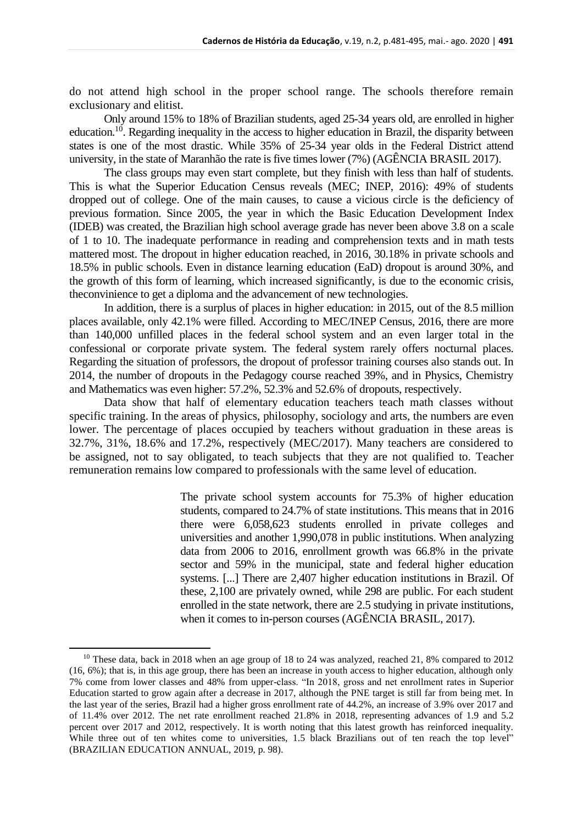do not attend high school in the proper school range. The schools therefore remain exclusionary and elitist.

Only around 15% to 18% of Brazilian students, aged 25-34 years old, are enrolled in higher education.<sup>10</sup>. Regarding inequality in the access to higher education in Brazil, the disparity between states is one of the most drastic. While 35% of 25-34 year olds in the Federal District attend university, in the state of Maranhão the rate is five times lower (7%) (AGÊNCIA BRASIL 2017).

The class groups may even start complete, but they finish with less than half of students. This is what the Superior Education Census reveals (MEC; INEP, 2016): 49% of students dropped out of college. One of the main causes, to cause a vicious circle is the deficiency of previous formation. Since 2005, the year in which the Basic Education Development Index (IDEB) was created, the Brazilian high school average grade has never been above 3.8 on a scale of 1 to 10. The inadequate performance in reading and comprehension texts and in math tests mattered most. The dropout in higher education reached, in 2016, 30.18% in private schools and 18.5% in public schools. Even in distance learning education (EaD) dropout is around 30%, and the growth of this form of learning, which increased significantly, is due to the economic crisis, theconvinience to get a diploma and the advancement of new technologies.

In addition, there is a surplus of places in higher education: in 2015, out of the 8.5 million places available, only 42.1% were filled. According to MEC/INEP Census, 2016, there are more than 140,000 unfilled places in the federal school system and an even larger total in the confessional or corporate private system. The federal system rarely offers nocturnal places. Regarding the situation of professors, the dropout of professor training courses also stands out. In 2014, the number of dropouts in the Pedagogy course reached 39%, and in Physics, Chemistry and Mathematics was even higher: 57.2%, 52.3% and 52.6% of dropouts, respectively.

Data show that half of elementary education teachers teach math classes without specific training. In the areas of physics, philosophy, sociology and arts, the numbers are even lower. The percentage of places occupied by teachers without graduation in these areas is 32.7%, 31%, 18.6% and 17.2%, respectively (MEC/2017). Many teachers are considered to be assigned, not to say obligated, to teach subjects that they are not qualified to. Teacher remuneration remains low compared to professionals with the same level of education.

> The private school system accounts for 75.3% of higher education students, compared to 24.7% of state institutions. This means that in 2016 there were 6,058,623 students enrolled in private colleges and universities and another 1,990,078 in public institutions. When analyzing data from 2006 to 2016, enrollment growth was 66.8% in the private sector and 59% in the municipal, state and federal higher education systems. [...] There are 2,407 higher education institutions in Brazil. Of these, 2,100 are privately owned, while 298 are public. For each student enrolled in the state network, there are 2.5 studying in private institutions, when it comes to in-person courses (AGÊNCIA BRASIL, 2017).

<sup>&</sup>lt;sup>10</sup> These data, back in 2018 when an age group of 18 to 24 was analyzed, reached 21, 8% compared to 2012 (16, 6%); that is, in this age group, there has been an increase in youth access to higher education, although only 7% come from lower classes and 48% from upper-class. "In 2018, gross and net enrollment rates in Superior Education started to grow again after a decrease in 2017, although the PNE target is still far from being met. In the last year of the series, Brazil had a higher gross enrollment rate of 44.2%, an increase of 3.9% over 2017 and of 11.4% over 2012. The net rate enrollment reached 21.8% in 2018, representing advances of 1.9 and 5.2 percent over 2017 and 2012, respectively. It is worth noting that this latest growth has reinforced inequality. While three out of ten whites come to universities, 1.5 black Brazilians out of ten reach the top level" (BRAZILIAN EDUCATION ANNUAL, 2019, p. 98).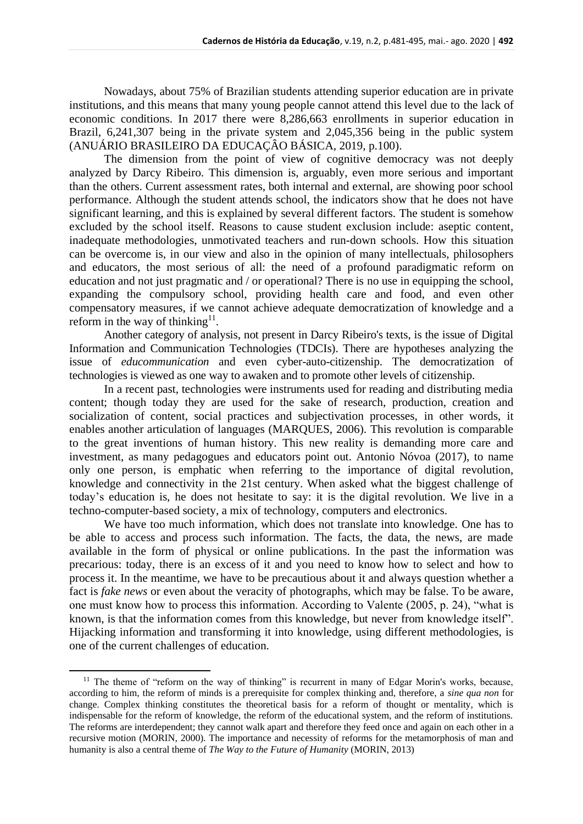Nowadays, about 75% of Brazilian students attending superior education are in private institutions, and this means that many young people cannot attend this level due to the lack of economic conditions. In 2017 there were 8,286,663 enrollments in superior education in Brazil, 6,241,307 being in the private system and 2,045,356 being in the public system (ANUÁRIO BRASILEIRO DA EDUCAÇÂO BÁSICA, 2019, p.100).

The dimension from the point of view of cognitive democracy was not deeply analyzed by Darcy Ribeiro. This dimension is, arguably, even more serious and important than the others. Current assessment rates, both internal and external, are showing poor school performance. Although the student attends school, the indicators show that he does not have significant learning, and this is explained by several different factors. The student is somehow excluded by the school itself. Reasons to cause student exclusion include: aseptic content, inadequate methodologies, unmotivated teachers and run-down schools. How this situation can be overcome is, in our view and also in the opinion of many intellectuals, philosophers and educators, the most serious of all: the need of a profound paradigmatic reform on education and not just pragmatic and / or operational? There is no use in equipping the school, expanding the compulsory school, providing health care and food, and even other compensatory measures, if we cannot achieve adequate democratization of knowledge and a reform in the way of thinking<sup>11</sup>.

Another category of analysis, not present in Darcy Ribeiro's texts, is the issue of Digital Information and Communication Technologies (TDCIs). There are hypotheses analyzing the issue of *educommunication* and even cyber-auto-citizenship. The democratization of technologies is viewed as one way to awaken and to promote other levels of citizenship.

In a recent past, technologies were instruments used for reading and distributing media content; though today they are used for the sake of research, production, creation and socialization of content, social practices and subjectivation processes, in other words, it enables another articulation of languages (MARQUES, 2006). This revolution is comparable to the great inventions of human history. This new reality is demanding more care and investment, as many pedagogues and educators point out. Antonio Nóvoa (2017), to name only one person, is emphatic when referring to the importance of digital revolution, knowledge and connectivity in the 21st century. When asked what the biggest challenge of today's education is, he does not hesitate to say: it is the digital revolution. We live in a techno-computer-based society, a mix of technology, computers and electronics.

We have too much information, which does not translate into knowledge. One has to be able to access and process such information. The facts, the data, the news, are made available in the form of physical or online publications. In the past the information was precarious: today, there is an excess of it and you need to know how to select and how to process it. In the meantime, we have to be precautious about it and always question whether a fact is *fake news* or even about the veracity of photographs, which may be false. To be aware, one must know how to process this information. According to Valente (2005, p. 24), "what is known, is that the information comes from this knowledge, but never from knowledge itself". Hijacking information and transforming it into knowledge, using different methodologies, is one of the current challenges of education.

 $11$  The theme of "reform on the way of thinking" is recurrent in many of Edgar Morin's works, because, according to him, the reform of minds is a prerequisite for complex thinking and, therefore, a *sine qua non* for change. Complex thinking constitutes the theoretical basis for a reform of thought or mentality, which is indispensable for the reform of knowledge, the reform of the educational system, and the reform of institutions. The reforms are interdependent; they cannot walk apart and therefore they feed once and again on each other in a recursive motion (MORIN, 2000). The importance and necessity of reforms for the metamorphosis of man and humanity is also a central theme of *The Way to the Future of Humanity* (MORIN, 2013)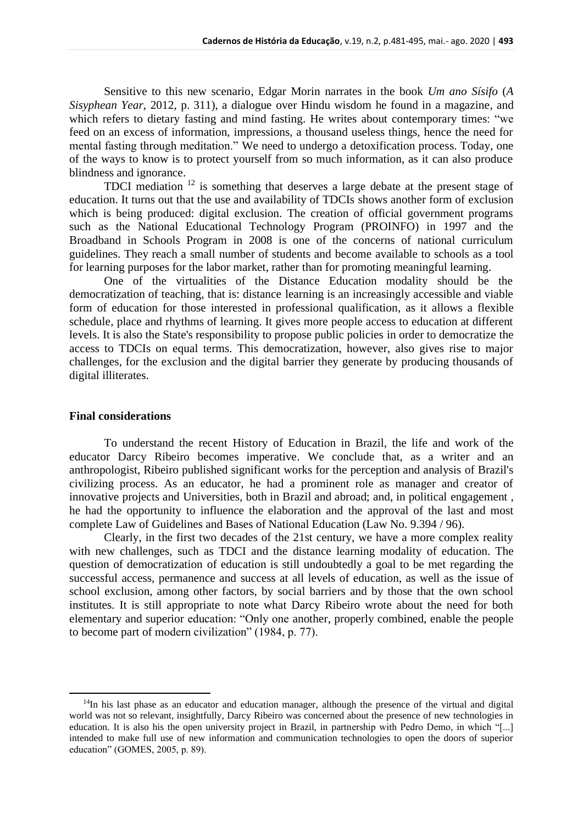Sensitive to this new scenario, Edgar Morin narrates in the book *Um ano Sísifo* (*A Sisyphean Year*, 2012, p. 311), a dialogue over Hindu wisdom he found in a magazine, and which refers to dietary fasting and mind fasting. He writes about contemporary times: "we feed on an excess of information, impressions, a thousand useless things, hence the need for mental fasting through meditation." We need to undergo a detoxification process. Today, one of the ways to know is to protect yourself from so much information, as it can also produce blindness and ignorance.

TDCI mediation <sup>12</sup> is something that deserves a large debate at the present stage of education. It turns out that the use and availability of TDCIs shows another form of exclusion which is being produced: digital exclusion. The creation of official government programs such as the National Educational Technology Program (PROINFO) in 1997 and the Broadband in Schools Program in 2008 is one of the concerns of national curriculum guidelines. They reach a small number of students and become available to schools as a tool for learning purposes for the labor market, rather than for promoting meaningful learning.

One of the virtualities of the Distance Education modality should be the democratization of teaching, that is: distance learning is an increasingly accessible and viable form of education for those interested in professional qualification, as it allows a flexible schedule, place and rhythms of learning. It gives more people access to education at different levels. It is also the State's responsibility to propose public policies in order to democratize the access to TDCIs on equal terms. This democratization, however, also gives rise to major challenges, for the exclusion and the digital barrier they generate by producing thousands of digital illiterates.

#### **Final considerations**

To understand the recent History of Education in Brazil, the life and work of the educator Darcy Ribeiro becomes imperative. We conclude that, as a writer and an anthropologist, Ribeiro published significant works for the perception and analysis of Brazil's civilizing process. As an educator, he had a prominent role as manager and creator of innovative projects and Universities, both in Brazil and abroad; and, in political engagement , he had the opportunity to influence the elaboration and the approval of the last and most complete Law of Guidelines and Bases of National Education (Law No. 9.394 / 96).

Clearly, in the first two decades of the 21st century, we have a more complex reality with new challenges, such as TDCI and the distance learning modality of education. The question of democratization of education is still undoubtedly a goal to be met regarding the successful access, permanence and success at all levels of education, as well as the issue of school exclusion, among other factors, by social barriers and by those that the own school institutes. It is still appropriate to note what Darcy Ribeiro wrote about the need for both elementary and superior education: "Only one another, properly combined, enable the people to become part of modern civilization" (1984, p. 77).

 $14$ In his last phase as an educator and education manager, although the presence of the virtual and digital world was not so relevant, insightfully, Darcy Ribeiro was concerned about the presence of new technologies in education. It is also his the open university project in Brazil, in partnership with Pedro Demo, in which "[...] intended to make full use of new information and communication technologies to open the doors of superior education" (GOMES, 2005, p. 89).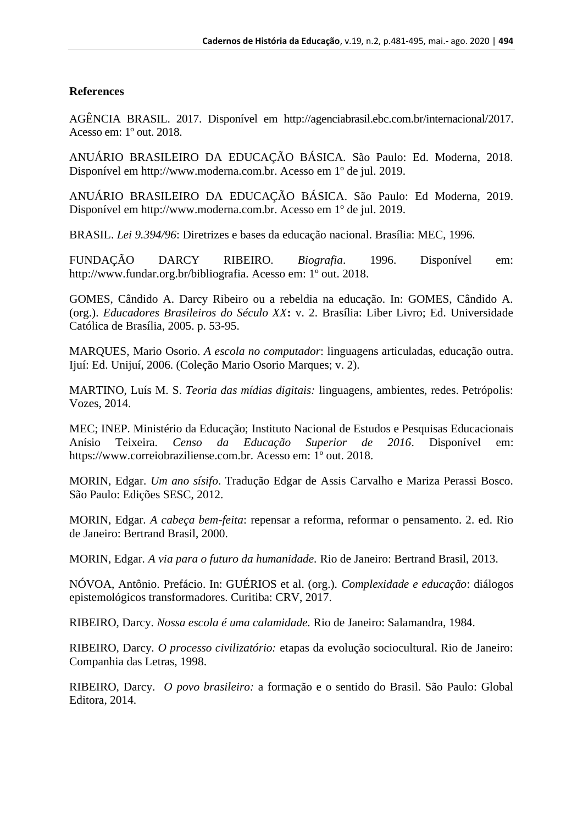# **References**

AGÊNCIA BRASIL. 2017. Disponível em http://agenciabrasil.ebc.com.br/internacional/2017. Acesso em: 1º out. 2018.

ANUÁRIO BRASILEIRO DA EDUCAÇÃO BÁSICA. São Paulo: Ed. Moderna, 2018. Disponível em http://www.moderna.com.br. Acesso em 1º de jul. 2019.

ANUÁRIO BRASILEIRO DA EDUCAÇÃO BÁSICA. São Paulo: Ed Moderna, 2019. Disponível em http://www.moderna.com.br. Acesso em 1º de jul. 2019.

BRASIL. *Lei 9.394/96*: Diretrizes e bases da educação nacional. Brasília: MEC, 1996.

FUNDAÇÃO DARCY RIBEIRO. *Biografia*. 1996. Disponível em: http://www.fundar.org.br/bibliografia. Acesso em: 1º out. 2018.

GOMES, Cândido A. Darcy Ribeiro ou a rebeldia na educação. In: GOMES, Cândido A. (org.). *Educadores Brasileiros do Século XX***:** v. 2. Brasília: Liber Livro; Ed. Universidade Católica de Brasília, 2005. p. 53-95.

MARQUES, Mario Osorio. *A escola no computador*: linguagens articuladas, educação outra. Ijuí: Ed. Unijuí, 2006. (Coleção Mario Osorio Marques; v. 2).

MARTINO, Luís M. S. *Teoria das mídias digitais:* linguagens, ambientes, redes. Petrópolis: Vozes, 2014.

MEC; INEP. Ministério da Educação; Instituto Nacional de Estudos e Pesquisas Educacionais Anísio Teixeira. *Censo da Educação Superior de 2016*. Disponível em: https://www.correiobraziliense.com.br. Acesso em: 1º out. 2018.

MORIN, Edgar. *Um ano sísifo*. Tradução Edgar de Assis Carvalho e Mariza Perassi Bosco. São Paulo: Edições SESC, 2012.

MORIN, Edgar*. A cabeça bem-feita*: repensar a reforma, reformar o pensamento. 2. ed. Rio de Janeiro: Bertrand Brasil, 2000.

MORIN, Edgar*. A via para o futuro da humanidade.* Rio de Janeiro: Bertrand Brasil, 2013.

NÓVOA, Antônio. Prefácio. In: GUÉRIOS et al. (org.). *Complexidade e educação*: diálogos epistemológicos transformadores. Curitiba: CRV, 2017.

RIBEIRO, Darcy. *Nossa escola é uma calamidade.* Rio de Janeiro: Salamandra, 1984.

RIBEIRO, Darcy*. O processo civilizatório:* etapas da evolução sociocultural. Rio de Janeiro: Companhia das Letras, 1998.

RIBEIRO, Darcy. *O povo brasileiro:* a formação e o sentido do Brasil. São Paulo: Global Editora, 2014.